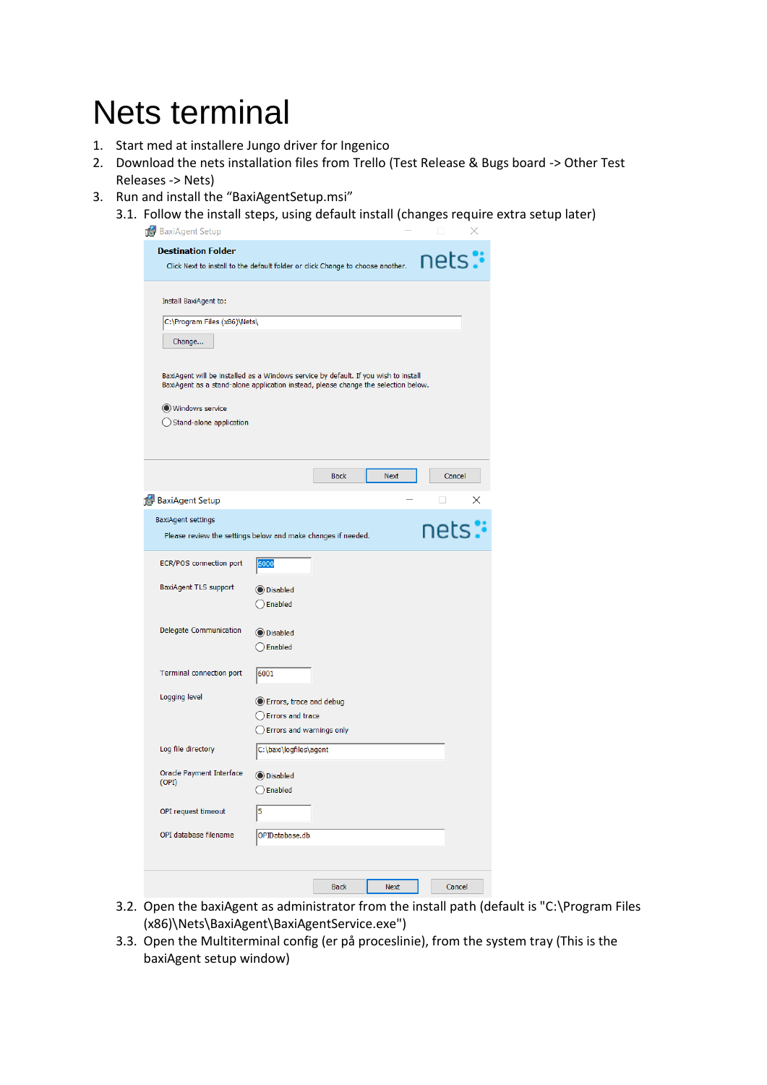## Nets terminal

- 1. Start med at installere Jungo driver for Ingenico
- 2. Download the nets installation files from Trello (Test Release & Bugs board -> Other Test Releases -> Nets)
- 3. Run and install the "BaxiAgentSetup.msi"
	- 3.1. Follow the install steps, using default install (changes require extra setup later)<br> $\overline{a}$  Raxidgent Setup

| <b>TA</b> bayun alim semb                                                                                                                                                                                                                                       |                                                                         |             |             |        |   |
|-----------------------------------------------------------------------------------------------------------------------------------------------------------------------------------------------------------------------------------------------------------------|-------------------------------------------------------------------------|-------------|-------------|--------|---|
| <b>Destination Folder</b>                                                                                                                                                                                                                                       |                                                                         |             |             | nets:  |   |
| Click Next to install to the default folder or click Change to choose another.                                                                                                                                                                                  |                                                                         |             |             |        |   |
| Install BaxiAgent to:<br>C:\Program Files (x86)\Nets\<br>Change<br>BaxiAgent will be installed as a Windows service by default. If you wish to install<br>BaxiAgent as a stand-alone application instead, please change the selection below.<br>Windows service |                                                                         |             |             |        |   |
| ◯ Stand-alone application                                                                                                                                                                                                                                       |                                                                         |             |             |        |   |
|                                                                                                                                                                                                                                                                 |                                                                         | <b>Back</b> | Next        | Cancel |   |
|                                                                                                                                                                                                                                                                 |                                                                         |             |             |        |   |
| <b>BaxiAgent Setup</b>                                                                                                                                                                                                                                          |                                                                         |             |             |        | × |
| <b>BaxiAgent settings</b>                                                                                                                                                                                                                                       |                                                                         |             |             | nets:  |   |
| Please review the settings below and make changes if needed.                                                                                                                                                                                                    |                                                                         |             |             |        |   |
| ECR/POS connection port                                                                                                                                                                                                                                         | 6000                                                                    |             |             |        |   |
| <b>BaxiAgent TLS support</b>                                                                                                                                                                                                                                    | <b>O</b> Disabled<br>Enabled                                            |             |             |        |   |
| Delegate Communication                                                                                                                                                                                                                                          | <b>O</b> Disabled<br>Enabled                                            |             |             |        |   |
| <b>Terminal connection port</b>                                                                                                                                                                                                                                 | 6001                                                                    |             |             |        |   |
| Logging level                                                                                                                                                                                                                                                   | Errors, trace and debug<br>Errors and trace<br>Errors and warnings only |             |             |        |   |
| Log file directory                                                                                                                                                                                                                                              | C:\baxi\logfiles\agent                                                  |             |             |        |   |
| Oracle Payment Interface<br>(OPI)                                                                                                                                                                                                                               | <b>O</b> Disabled<br>$\bigcirc$ Enabled                                 |             |             |        |   |
| OPI request timeout                                                                                                                                                                                                                                             | 5                                                                       |             |             |        |   |
| OPI database filename                                                                                                                                                                                                                                           | OPIDatabase.db                                                          |             |             |        |   |
|                                                                                                                                                                                                                                                                 |                                                                         |             |             |        |   |
|                                                                                                                                                                                                                                                                 |                                                                         | <b>Back</b> | <b>Next</b> | Cancel |   |

- 3.2. Open the baxiAgent as administrator from the install path (default is "C:\Program Files (x86)\Nets\BaxiAgent\BaxiAgentService.exe")
- 3.3. Open the Multiterminal config (er på proceslinie), from the system tray (This is the baxiAgent setup window)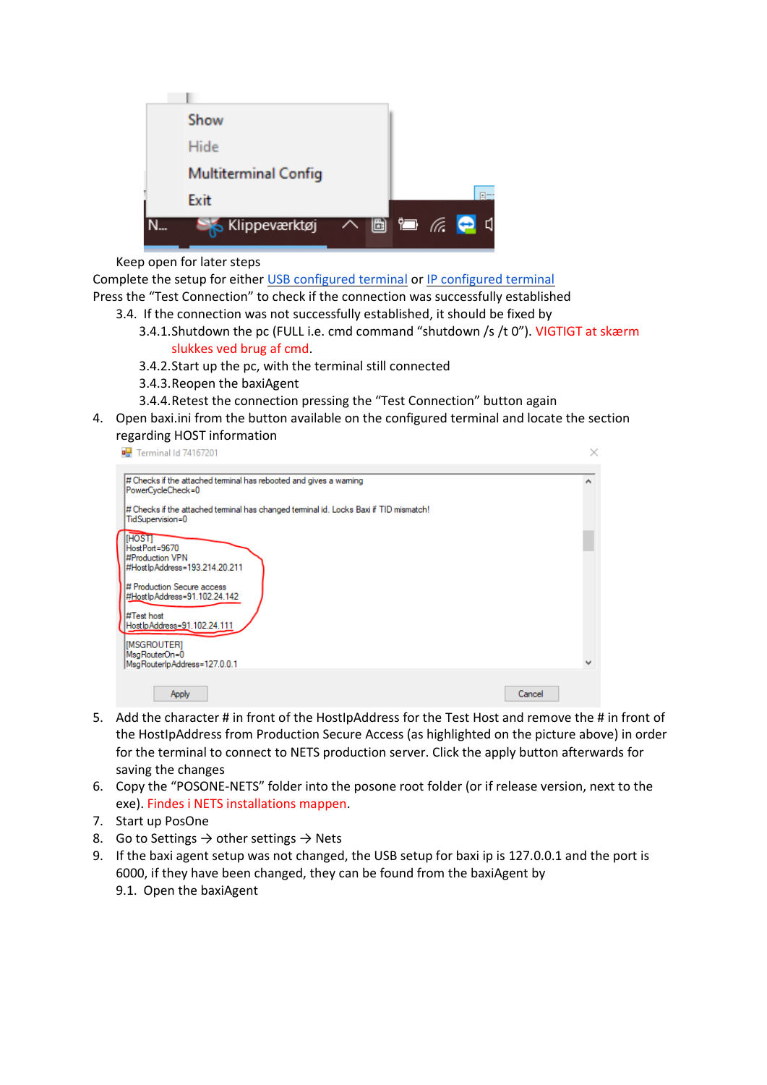

Keep open for later steps

Complete the setup for either USB configured terminal or IP configured terminal

Press the "Test Connection" to check if the connection was successfully established

- 3.4. If the connection was not successfully established, it should be fixed by
	- 3.4.1.Shutdown the pc (FULL i.e. cmd command "shutdown /s /t 0"). VIGTIGT at skærm slukkes ved brug af cmd.
	- 3.4.2.Start up the pc, with the terminal still connected
	- 3.4.3.Reopen the baxiAgent
	- 3.4.4.Retest the connection pressing the "Test Connection" button again
- 4. Open baxi.ini from the button available on the configured terminal and locate the section regarding HOST information

| # Checks if the attached terminal has rebooted and gives a warning                                         |   |
|------------------------------------------------------------------------------------------------------------|---|
| PowerCycleCheck=0                                                                                          |   |
| # Checks if the attached terminal has changed terminal id. Locks Baxi if TID mismatch!<br>TidSupervision=0 |   |
| <b>IHOSTI</b><br>HostPort=9670                                                                             |   |
| #Production VPN                                                                                            |   |
| #Host lp Address=193.214.20.211<br># Production Secure access                                              |   |
| #Host lp Address=91.102.24.142                                                                             |   |
| #Test host<br>Host lp Address=91.102.24.111                                                                |   |
|                                                                                                            |   |
| [MSGROUTER]<br>MsgRouterOn=0                                                                               |   |
| MsgRouterlpAddress=127.0.0.1                                                                               | v |

- 5. Add the character # in front of the HostIpAddress for the Test Host and remove the # in front of the HostIpAddress from Production Secure Access (as highlighted on the picture above) in order for the terminal to connect to NETS production server. Click the apply button afterwards for saving the changes
- 6. Copy the "POSONE-NETS" folder into the posone root folder (or if release version, next to the exe). Findes i NETS installations mappen.
- 7. Start up PosOne
- 8. Go to Settings  $\rightarrow$  other settings  $\rightarrow$  Nets
- 9. If the baxi agent setup was not changed, the USB setup for baxi ip is 127.0.0.1 and the port is 6000, if they have been changed, they can be found from the baxiAgent by
	- 9.1. Open the baxiAgent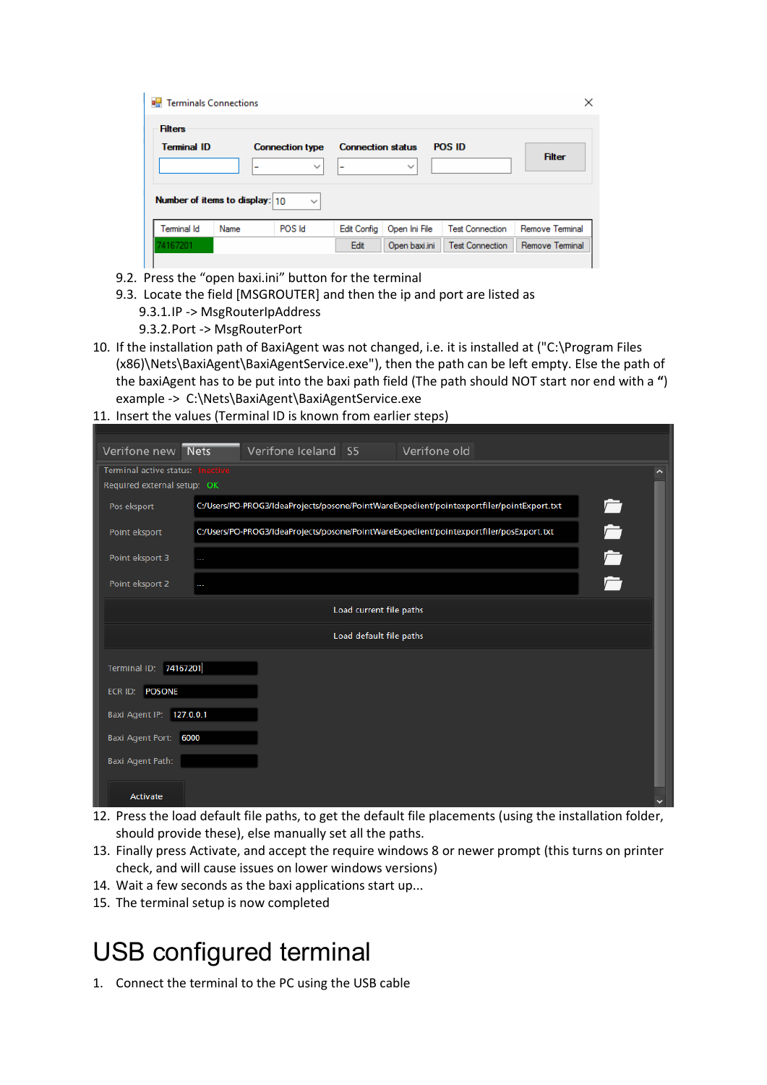| <b>Terminals Connections</b> |                                |                        |                          |               |                        |                 | × |
|------------------------------|--------------------------------|------------------------|--------------------------|---------------|------------------------|-----------------|---|
| <b>Filters</b>               |                                |                        |                          |               |                        |                 |   |
| <b>Terminal ID</b>           |                                | <b>Connection type</b> | <b>Connection status</b> |               | <b>POS ID</b>          | <b>Filter</b>   |   |
|                              | ٠                              | $\check{ }$            | ٠                        | $\checkmark$  |                        |                 |   |
|                              | Number of items to display: 10 | $\checkmark$           |                          |               |                        |                 |   |
| <b>Terminal Id</b>           | Name                           | POS Id                 | <b>Edit Config</b>       | Open Ini File | <b>Test Connection</b> | Remove Terminal |   |
| 74167201                     |                                |                        | Edit                     | Open baxi.ini | <b>Test Connection</b> | Remove Terminal |   |

- 9.2. Press the "open baxi.ini" button for the terminal
- 9.3. Locate the field [MSGROUTER] and then the ip and port are listed as
	- 9.3.1.IP -> MsgRouterIpAddress
	- 9.3.2.Port -> MsgRouterPort
- 10. If the installation path of BaxiAgent was not changed, i.e. it is installed at ("C:\Program Files (x86)\Nets\BaxiAgent\BaxiAgentService.exe"), then the path can be left empty. Else the path of the baxiAgent has to be put into the baxi path field (The path should NOT start nor end with a **"**) example -> C:\Nets\BaxiAgent\BaxiAgentService.exe

## 11. Insert the values (Terminal ID is known from earlier steps)

| Verifone new Nets           |          | Verifone Iceland S5 Verifone old |                         |                                                                                           |        |
|-----------------------------|----------|----------------------------------|-------------------------|-------------------------------------------------------------------------------------------|--------|
| Terminal active status:     |          |                                  |                         |                                                                                           |        |
| Required external setup: OK |          |                                  |                         |                                                                                           |        |
| Pos eksport                 |          |                                  |                         | C:/Users/PO-PROG3/IdeaProjects/posone/PointWareExpedient/pointexportfiler/pointExport.txt | $\Box$ |
| Point eksport               |          |                                  |                         | C:/Users/PO-PROG3/IdeaProjects/posone/PointWareExpedient/pointexportfiler/posExport.txt   |        |
| Point eksport 3             | $\cdots$ |                                  |                         |                                                                                           |        |
| Point eksport 2             | $\cdots$ |                                  |                         |                                                                                           |        |
|                             |          |                                  | Load current file paths |                                                                                           |        |
|                             |          |                                  | Load default file paths |                                                                                           |        |
| Terminal ID: 74167201       |          |                                  |                         |                                                                                           |        |
| <b>POSONE</b><br>ECR ID:    |          |                                  |                         |                                                                                           |        |
| Baxi Agent IP: 127.0.0.1    |          |                                  |                         |                                                                                           |        |
| Baxi Agent Port:            | 6000     |                                  |                         |                                                                                           |        |
| Baxi Agent Path:            |          |                                  |                         |                                                                                           |        |
| Activate                    |          |                                  |                         |                                                                                           |        |

- 12. Press the load default file paths, to get the default file placements (using the installation folder, should provide these), else manually set all the paths.
- 13. Finally press Activate, and accept the require windows 8 or newer prompt (this turns on printer check, and will cause issues on lower windows versions)
- 14. Wait a few seconds as the baxi applications start up...
- 15. The terminal setup is now completed

## USB configured terminal

1. Connect the terminal to the PC using the USB cable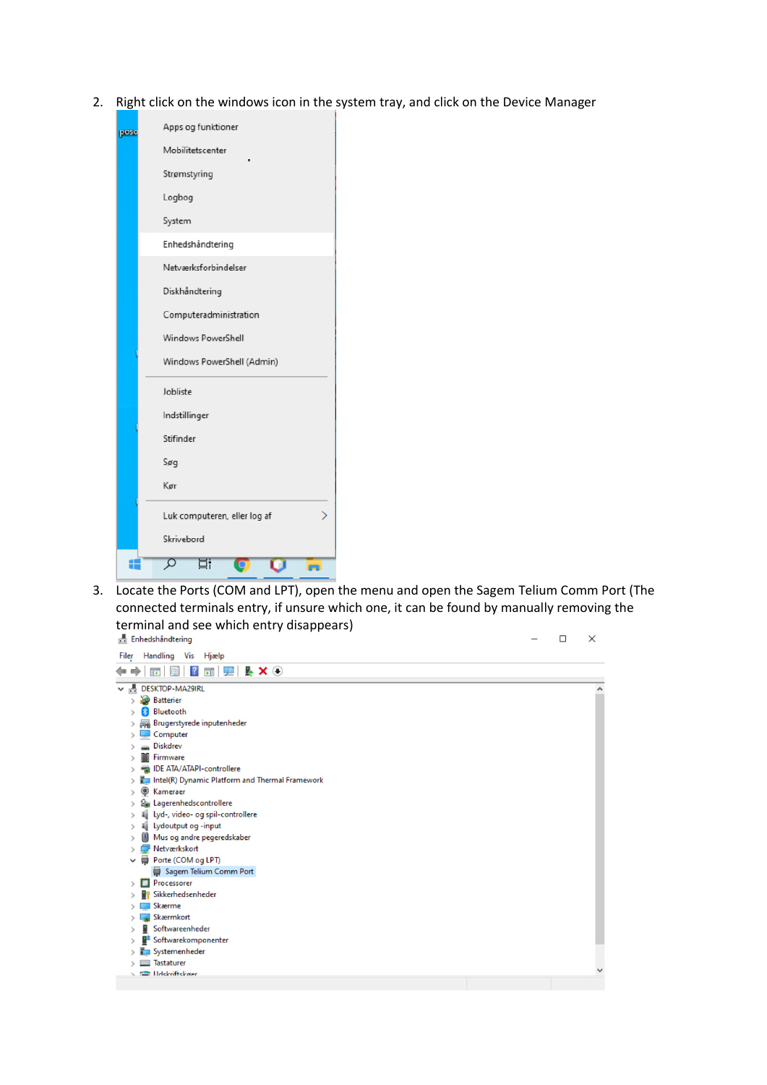2. Right click on the windows icon in the system tray, and click on the Device Manager

| pose | Apps og funktioner           |
|------|------------------------------|
|      | Mobilitetscenter             |
|      | Strømstyring                 |
|      | Logbog                       |
|      | System                       |
|      | Enhedshåndtering             |
|      | Netværksforbindelser         |
|      | Diskhåndtering               |
|      | Computeradministration       |
|      | Windows PowerShell           |
|      | Windows PowerShell (Admin)   |
|      | Jobliste                     |
|      | Indstillinger                |
|      | Stifinder                    |
|      | Søg                          |
|      | Kør                          |
|      | Luk computeren, eller log af |
|      | Skrivebord                   |
|      | m                            |

3. Locate the Ports (COM and LPT), open the menu and open the Sagem Telium Comm Port (The connected terminals entry, if unsure which one, it can be found by manually removing the terminal and see which entry disappears)<br> **A** Enhedshåndtering

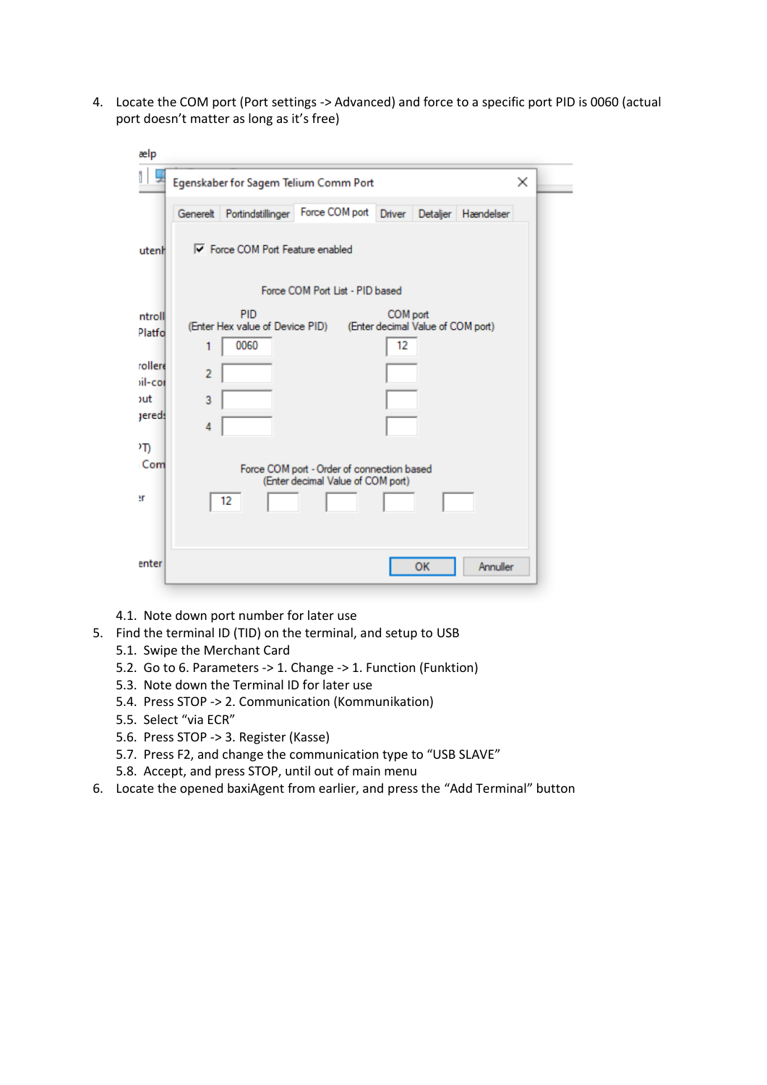4. Locate the COM port (Port settings -> Advanced) and force to a specific port PID is 0060 (actual port doesn't matter as long as it's free)

| ælp                                                                                |                                                                                                                                                                                                                                 |
|------------------------------------------------------------------------------------|---------------------------------------------------------------------------------------------------------------------------------------------------------------------------------------------------------------------------------|
|                                                                                    | $\times$<br>Egenskaber for Sagem Telium Comm Port                                                                                                                                                                               |
|                                                                                    | Force COM port<br>Generelt Portindstillinger<br>Driver Detaljer Hændelser                                                                                                                                                       |
| utenh                                                                              | <b>▽</b> Force COM Port Feature enabled                                                                                                                                                                                         |
|                                                                                    | Force COM Port List - PID based                                                                                                                                                                                                 |
| ntroll<br>Platfo<br>rollere<br>iil-cor<br><b>sut</b><br>jereds<br>٥T۱<br>Com<br>٩r | PID<br>COM port<br>(Enter Hex value of Device PID)<br>(Enter decimal Value of COM port)<br>12<br>0060<br>1<br>$\overline{2}$<br>3<br>4<br>Force COM port - Order of connection based<br>(Enter decimal Value of COM port)<br>12 |
| enter                                                                              | Annuller<br>OK                                                                                                                                                                                                                  |

- 4.1. Note down port number for later use
- 5. Find the terminal ID (TID) on the terminal, and setup to USB
	- 5.1. Swipe the Merchant Card
	- 5.2. Go to 6. Parameters -> 1. Change -> 1. Function (Funktion)
	- 5.3. Note down the Terminal ID for later use
	- 5.4. Press STOP -> 2. Communication (Kommunikation)
	- 5.5. Select "via ECR"
	- 5.6. Press STOP -> 3. Register (Kasse)
	- 5.7. Press F2, and change the communication type to "USB SLAVE"
	- 5.8. Accept, and press STOP, until out of main menu
- 6. Locate the opened baxiAgent from earlier, and press the "Add Terminal" button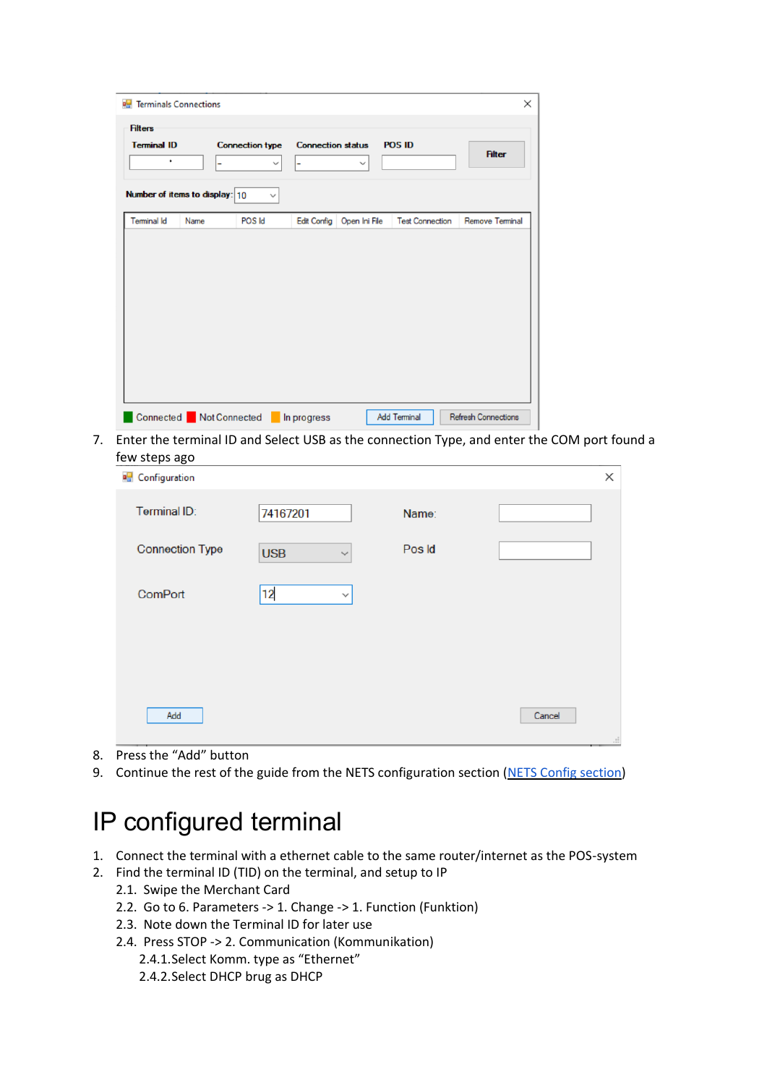| <b>E</b> Terminals Connections<br><b>Filters</b> |      |                                             |                               |               |                        | X               |
|--------------------------------------------------|------|---------------------------------------------|-------------------------------|---------------|------------------------|-----------------|
| <b>Terminal ID</b><br>$\bullet$                  |      | <b>Connection type</b><br>$\checkmark$<br>۰ | <b>Connection status</b><br>Ξ | $\checkmark$  | <b>POS ID</b>          | <b>Filter</b>   |
| Number of items to display: 10                   |      | $\checkmark$                                |                               |               |                        |                 |
| <b>Terminal Id</b>                               | Name | POS Id                                      | <b>Edit Config</b>            | Open Ini File | <b>Test Connection</b> | Remove Terminal |
|                                                  |      |                                             |                               |               |                        |                 |
|                                                  |      |                                             |                               |               |                        |                 |
|                                                  |      |                                             |                               |               |                        |                 |
|                                                  |      |                                             |                               |               |                        |                 |
|                                                  |      |                                             |                               |               |                        |                 |
|                                                  |      |                                             |                               |               |                        |                 |
|                                                  |      |                                             |                               |               |                        |                 |
|                                                  |      |                                             |                               |               |                        |                 |

7. Enter the terminal ID and Select USB as the connection Type, and enter the COM port found a few steps ago

|                            |        |        | X  |
|----------------------------|--------|--------|----|
| 74167201                   | Name:  |        |    |
| <b>USB</b><br>$\checkmark$ | Pos Id |        |    |
| 12<br>$\checkmark$         |        |        |    |
|                            |        |        |    |
|                            |        |        |    |
|                            |        | Cancel | d. |
|                            |        |        |    |

- 8. Press the "Add" button
- 9. Continue the rest of the guide from the NETS configuration section (NETS Config section)

## IP configured terminal

- 1. Connect the terminal with a ethernet cable to the same router/internet as the POS-system
- 2. Find the terminal ID (TID) on the terminal, and setup to IP
	- 2.1. Swipe the Merchant Card
	- 2.2. Go to 6. Parameters -> 1. Change -> 1. Function (Funktion)
	- 2.3. Note down the Terminal ID for later use
	- 2.4. Press STOP -> 2. Communication (Kommunikation)
		- 2.4.1.Select Komm. type as "Ethernet"
		- 2.4.2.Select DHCP brug as DHCP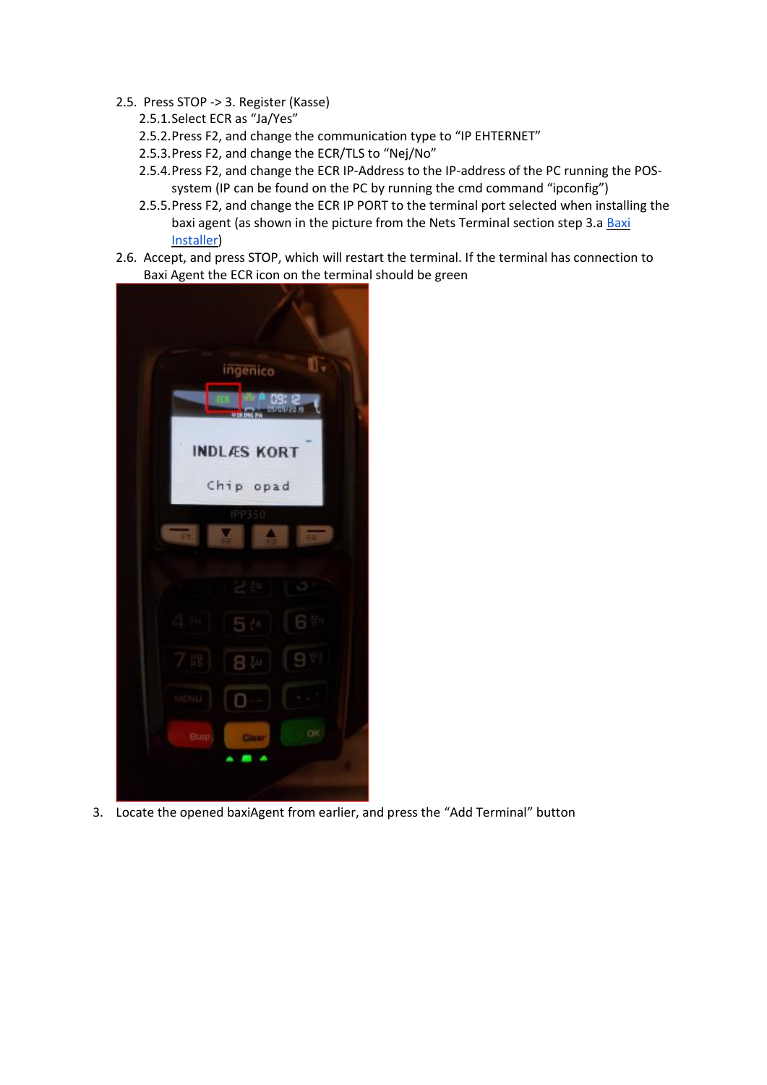- 2.5. Press STOP -> 3. Register (Kasse)
	- 2.5.1.Select ECR as "Ja/Yes"
	- 2.5.2.Press F2, and change the communication type to "IP EHTERNET"
	- 2.5.3.Press F2, and change the ECR/TLS to "Nej/No"
	- 2.5.4.Press F2, and change the ECR IP-Address to the IP-address of the PC running the POSsystem (IP can be found on the PC by running the cmd command "ipconfig")
	- 2.5.5.Press F2, and change the ECR IP PORT to the terminal port selected when installing the baxi agent (as shown in the picture from the Nets Terminal section step 3.a Baxi [Installer\)](https://docs.google.com/document/d/1oBClsnuAqI7wvDLdN9zIDXxalCxxgbj8n6W70e-D8Kg/edit#bookmark=id.8i7ofj9x6zg)
- 2.6. Accept, and press STOP, which will restart the terminal. If the terminal has connection to Baxi Agent the ECR icon on the terminal should be green



3. Locate the opened baxiAgent from earlier, and press the "Add Terminal" button